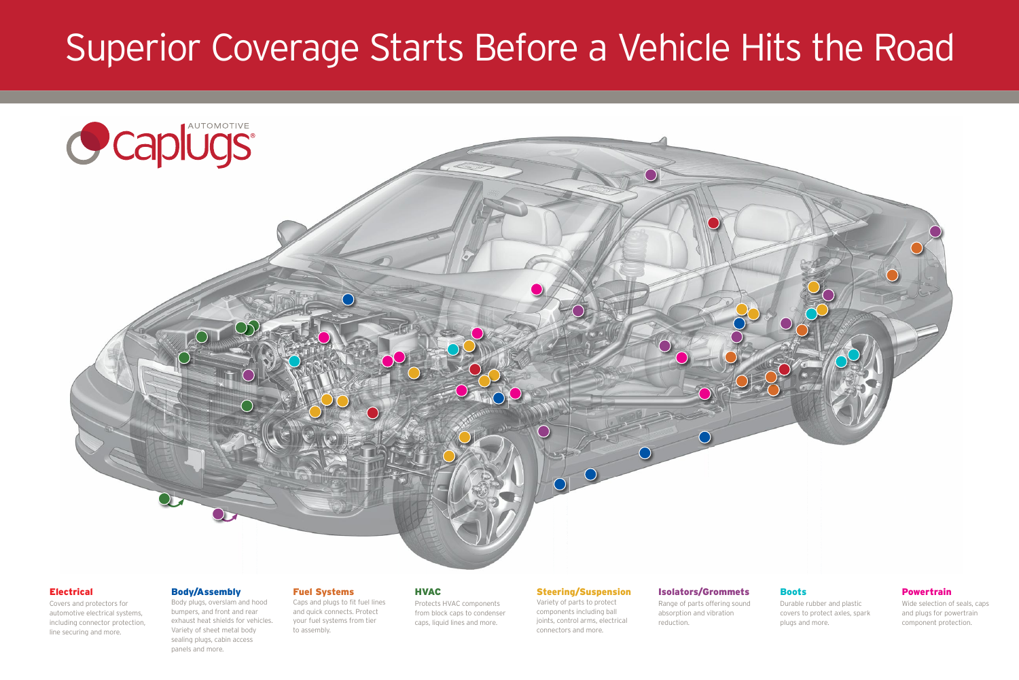# Superior Coverage Starts Before a Vehicle Hits the Road





#### **Electrical**

Covers and protectors for automotive electrical systems, including connector protection, line securing and more.

#### Body/Assembly

Body plugs, overslam and hood bumpers, and front and rear exhaust heat shields for vehicles. Variety of sheet metal body sealing plugs, cabin access panels and more.

#### Fuel Systems

Caps and plugs to fit fuel lines and quick connects. Protect your fuel systems from tier to assembly.

#### HVAC

Protects HVAC components from block caps to condenser caps, liquid lines and more.

#### Steering/Suspension

Variety of parts to protect components including ball joints, control arms, electrical connectors and more.

### Isolators/Grommets

Range of parts offering sound absorption and vibration reduction.

#### Boots

Durable rubber and plastic covers to protect axles, spark plugs and more.

#### Powertrain

Wide selection of seals, caps and plugs for powertrain component protection.